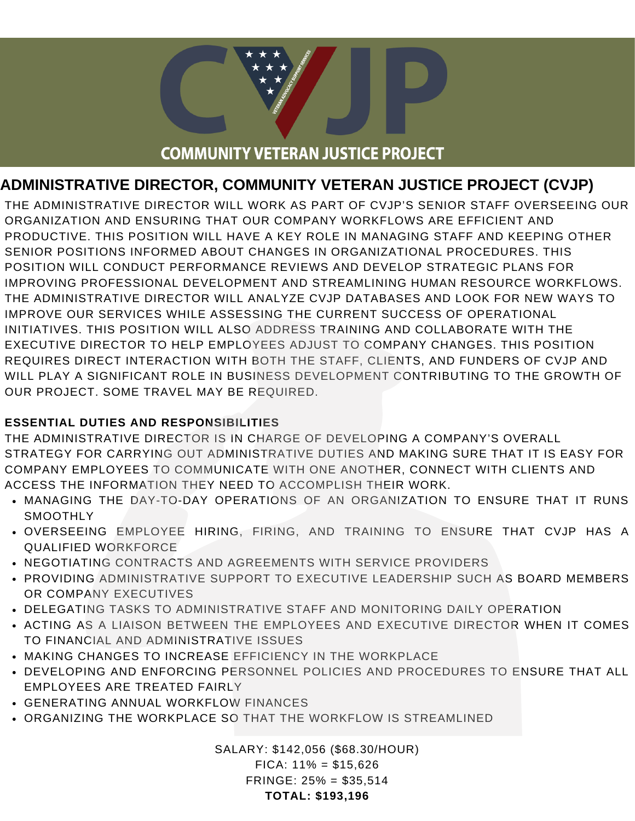# **COMMUNITY VETERAN JUSTICE PROJECT**

## **ADMINISTRATIVE DIRECTOR, COMMUNITY VETERAN JUSTICE PROJECT (CVJP)**

THE ADMINISTRATIVE DIRECTOR WILL WORK AS PART OF CVJP'S SENIOR STAFF OVERSEEING OUR ORGANIZATION AND ENSURING THAT OUR COMPANY WORKFLOWS ARE EFFICIENT AND PRODUCTIVE. THIS POSITION WILL HAVE A KEY ROLE IN MANAGING STAFF AND KEEPING OTHER SENIOR POSITIONS INFORMED ABOUT CHANGES IN ORGANIZATIONAL PROCEDURES. THIS POSITION WILL CONDUCT PERFORMANCE REVIEWS AND DEVELOP STRATEGIC PLANS FOR IMPROVING PROFESSIONAL DEVELOPMENT AND STREAMLINING HUMAN RESOURCE WORKFLOWS. THE ADMINISTRATIVE DIRECTOR WILL ANALYZE CVJP DATABASES AND LOOK FOR NEW WAYS TO IMPROVE OUR SERVICES WHILE ASSESSING THE CURRENT SUCCESS OF OPERATIONAL INITIATIVES. THIS POSITION WILL ALSO ADDRESS TRAINING AND COLLABORATE WITH THE EXECUTIVE DIRECTOR TO HELP EMPLOYEES ADJUST TO COMPANY CHANGES. THIS POSITION REQUIRES DIRECT INTERACTION WITH BOTH THE STAFF, CLIENTS, AND FUNDERS OF CVJP AND WILL PLAY A SIGNIFICANT ROLE IN BUSINESS DEVELOPMENT CONTRIBUTING TO THE GROWTH OF OUR PROJECT. SOME TRAVEL MAY BE REQUIRED.

#### **ESSENTIAL DUTIES AND RESPONSIBILITIES**

THE ADMINISTRATIVE DIRECTOR IS IN CHARGE OF DEVELOPING A COMPANY'S OVERALL STRATEGY FOR CARRYING OUT ADMINISTRATIVE DUTIES AND MAKING SURE THAT IT IS EASY FOR COMPANY EMPLOYEES TO COMMUNICATE WITH ONE ANOTHER, CONNECT WITH CLIENTS AND ACCESS THE INFORMATION THEY NEED TO ACCOMPLISH THEIR WORK.

- MANAGING THE DAY-TO-DAY OPERATIONS OF AN ORGANIZATION TO ENSURE THAT IT RUNS SMOOTHLY
- OVERSEEING EMPLOYEE HIRING, FIRING, AND TRAINING TO ENSURE THAT CVJP HAS A QUALIFIED WORKFORCE
- . NEGOTIATING CONTRACTS AND AGREEMENTS WITH SERVICE PROVIDERS
- PROVIDING ADMINISTRATIVE SUPPORT TO EXECUTIVE LEADERSHIP SUCH AS BOARD MEMBERS OR COMPANY EXECUTIVES
- DELEGATING TASKS TO ADMINISTRATIVE STAFF AND MONITORING DAILY OPERATION
- ACTING AS A LIAISON BETWEEN THE EMPLOYEES AND EXECUTIVE DIRECTOR WHEN IT COMES TO FINANCIAL AND ADMINISTRATIVE ISSUES
- MAKING CHANGES TO INCREASE EFFICIENCY IN THE WORKPLACE
- DEVELOPING AND ENFORCING PERSONNEL POLICIES AND PROCEDURES TO ENSURE THAT ALL EMPLOYEES ARE TREATED FAIRLY
- GENERATING ANNUAL WORKFLOW FINANCES
- ORGANIZING THE WORKPLACE SO THAT THE WORKFLOW IS STREAMLINED

SALARY: \$142,056 (\$68.30/HOUR) FICA: 11% = \$15,626 FRINGE: 25% = \$35,514

**TOTAL: \$193,196**